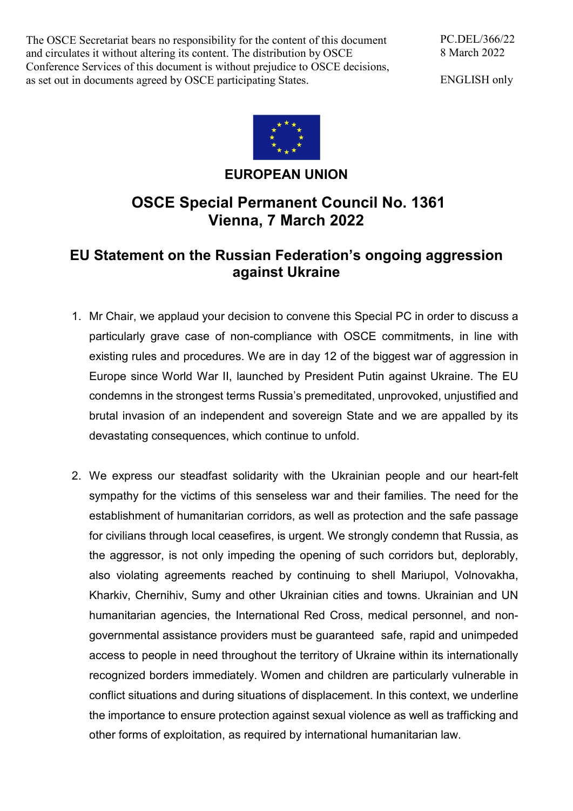The OSCE Secretariat bears no responsibility for the content of this document and circulates it without altering its content. The distribution by OSCE Conference Services of this document is without prejudice to OSCE decisions, as set out in documents agreed by OSCE participating States.

PC.DEL/366/22 8 March 2022

ENGLISH only



## **EUROPEAN UNION**

## **OSCE Special Permanent Council No. 1361 Vienna, 7 March 2022**

## **EU Statement on the Russian Federation's ongoing aggression against Ukraine**

- 1. Mr Chair, we applaud your decision to convene this Special PC in order to discuss a particularly grave case of non-compliance with OSCE commitments, in line with existing rules and procedures. We are in day 12 of the biggest war of aggression in Europe since World War II, launched by President Putin against Ukraine. The EU condemns in the strongest terms Russia's premeditated, unprovoked, unjustified and brutal invasion of an independent and sovereign State and we are appalled by its devastating consequences, which continue to unfold.
- 2. We express our steadfast solidarity with the Ukrainian people and our heart-felt sympathy for the victims of this senseless war and their families. The need for the establishment of humanitarian corridors, as well as protection and the safe passage for civilians through local ceasefires, is urgent. We strongly condemn that Russia, as the aggressor, is not only impeding the opening of such corridors but, deplorably, also violating agreements reached by continuing to shell Mariupol, Volnovakha, Kharkiv, Chernihiv, Sumy and other Ukrainian cities and towns. Ukrainian and UN humanitarian agencies, the International Red Cross, medical personnel, and nongovernmental assistance providers must be guaranteed safe, rapid and unimpeded access to people in need throughout the territory of Ukraine within its internationally recognized borders immediately. Women and children are particularly vulnerable in conflict situations and during situations of displacement. In this context, we underline the importance to ensure protection against sexual violence as well as trafficking and other forms of exploitation, as required by international humanitarian law.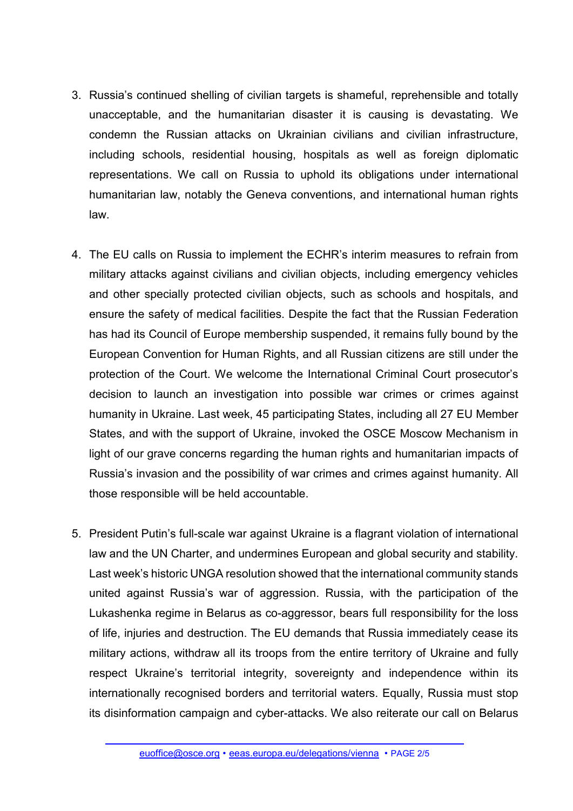- 3. Russia's continued shelling of civilian targets is shameful, reprehensible and totally unacceptable, and the humanitarian disaster it is causing is devastating. We condemn the Russian attacks on Ukrainian civilians and civilian infrastructure, including schools, residential housing, hospitals as well as foreign diplomatic representations. We call on Russia to uphold its obligations under international humanitarian law, notably the Geneva conventions, and international human rights law.
- 4. The EU calls on Russia to implement the ECHR's interim measures to refrain from military attacks against civilians and civilian objects, including emergency vehicles and other specially protected civilian objects, such as schools and hospitals, and ensure the safety of medical facilities. Despite the fact that the Russian Federation has had its Council of Europe membership suspended, it remains fully bound by the European Convention for Human Rights, and all Russian citizens are still under the protection of the Court. We welcome the International Criminal Court prosecutor's decision to launch an investigation into possible war crimes or crimes against humanity in Ukraine. Last week, 45 participating States, including all 27 EU Member States, and with the support of Ukraine, invoked the OSCE Moscow Mechanism in light of our grave concerns regarding the human rights and humanitarian impacts of Russia's invasion and the possibility of war crimes and crimes against humanity. All those responsible will be held accountable.
- 5. President Putin's full-scale war against Ukraine is a flagrant violation of international law and the UN Charter, and undermines European and global security and stability. Last week's historic UNGA resolution showed that the international community stands united against Russia's war of aggression. Russia, with the participation of the Lukashenka regime in Belarus as co-aggressor, bears full responsibility for the loss of life, injuries and destruction. The EU demands that Russia immediately cease its military actions, withdraw all its troops from the entire territory of Ukraine and fully respect Ukraine's territorial integrity, sovereignty and independence within its internationally recognised borders and territorial waters. Equally, Russia must stop its disinformation campaign and cyber-attacks. We also reiterate our call on Belarus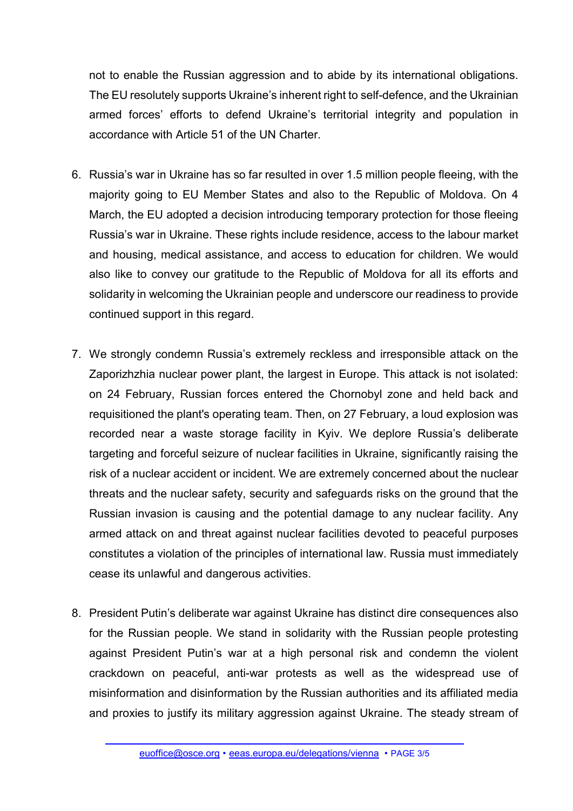not to enable the Russian aggression and to abide by its international obligations. The EU resolutely supports Ukraine's inherent right to self-defence, and the Ukrainian armed forces' efforts to defend Ukraine's territorial integrity and population in accordance with Article 51 of the UN Charter.

- 6. Russia's war in Ukraine has so far resulted in over 1.5 million people fleeing, with the majority going to EU Member States and also to the Republic of Moldova. On 4 March, the EU adopted a decision introducing temporary protection for those fleeing Russia's war in Ukraine. These rights include residence, access to the labour market and housing, medical assistance, and access to education for children. We would also like to convey our gratitude to the Republic of Moldova for all its efforts and solidarity in welcoming the Ukrainian people and underscore our readiness to provide continued support in this regard.
- 7. We strongly condemn Russia's extremely reckless and irresponsible attack on the Zaporizhzhia nuclear power plant, the largest in Europe. This attack is not isolated: on 24 February, Russian forces entered the Chornobyl zone and held back and requisitioned the plant's operating team. Then, on 27 February, a loud explosion was recorded near a waste storage facility in Kyiv. We deplore Russia's deliberate targeting and forceful seizure of nuclear facilities in Ukraine, significantly raising the risk of a nuclear accident or incident. We are extremely concerned about the nuclear threats and the nuclear safety, security and safeguards risks on the ground that the Russian invasion is causing and the potential damage to any nuclear facility. Any armed attack on and threat against nuclear facilities devoted to peaceful purposes constitutes a violation of the principles of international law. Russia must immediately cease its unlawful and dangerous activities.
- 8. President Putin's deliberate war against Ukraine has distinct dire consequences also for the Russian people. We stand in solidarity with the Russian people protesting against President Putin's war at a high personal risk and condemn the violent crackdown on peaceful, anti-war protests as well as the widespread use of misinformation and disinformation by the Russian authorities and its affiliated media and proxies to justify its military aggression against Ukraine. The steady stream of

[euoffice@osce.org](mailto:euoffice@osce.org) • [eeas.europa.eu/delegations/vienna](http://eeas.europa.eu/delegations/vienna) • PAGE 3/5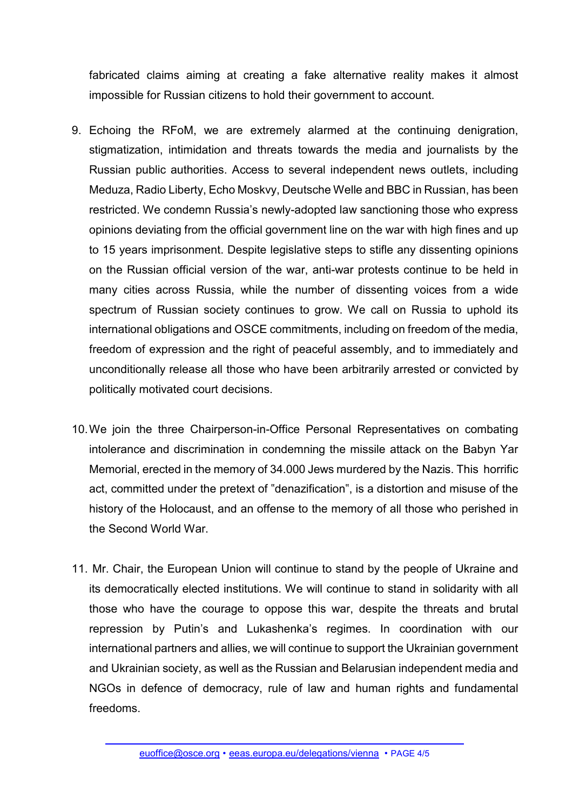fabricated claims aiming at creating a fake alternative reality makes it almost impossible for Russian citizens to hold their government to account.

- 9. Echoing the RFoM, we are extremely alarmed at the continuing denigration, stigmatization, intimidation and threats towards the media and journalists by the Russian public authorities. Access to several independent news outlets, including Meduza, Radio Liberty, Echo Moskvy, Deutsche Welle and BBC in Russian, has been restricted. We condemn Russia's newly-adopted law sanctioning those who express opinions deviating from the official government line on the war with high fines and up to 15 years imprisonment. Despite legislative steps to stifle any dissenting opinions on the Russian official version of the war, anti-war protests continue to be held in many cities across Russia, while the number of dissenting voices from a wide spectrum of Russian society continues to grow. We call on Russia to uphold its international obligations and OSCE commitments, including on freedom of the media, freedom of expression and the right of peaceful assembly, and to immediately and unconditionally release all those who have been arbitrarily arrested or convicted by politically motivated court decisions.
- 10.We join the three Chairperson-in-Office Personal Representatives on combating intolerance and discrimination in condemning the missile attack on the Babyn Yar Memorial, erected in the memory of 34.000 Jews murdered by the Nazis. This horrific act, committed under the pretext of "denazification", is a distortion and misuse of the history of the Holocaust, and an offense to the memory of all those who perished in the Second World War.
- 11. Mr. Chair, the European Union will continue to stand by the people of Ukraine and its democratically elected institutions. We will continue to stand in solidarity with all those who have the courage to oppose this war, despite the threats and brutal repression by Putin's and Lukashenka's regimes. In coordination with our international partners and allies, we will continue to support the Ukrainian government and Ukrainian society, as well as the Russian and Belarusian independent media and NGOs in defence of democracy, rule of law and human rights and fundamental freedoms.